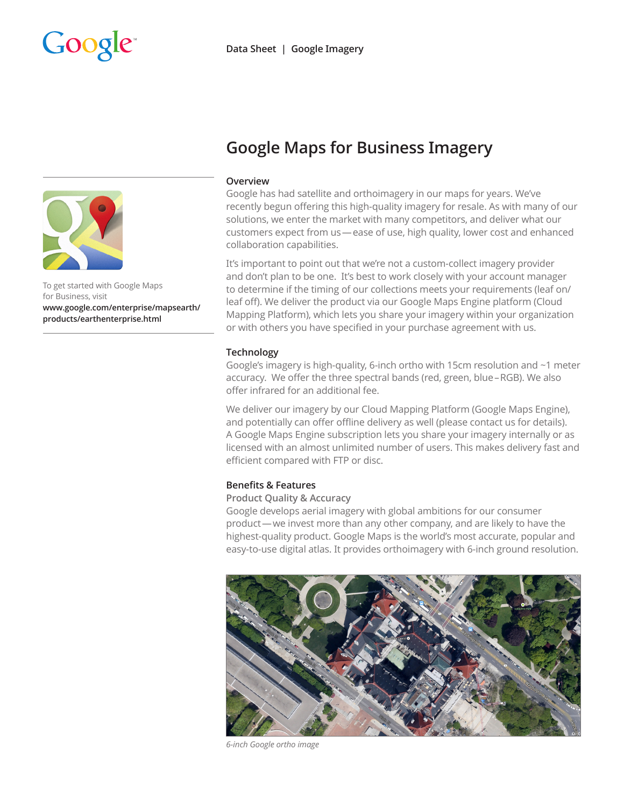



To get started with Google Maps for Business, visit **[www.google.com/enterprise/mapsearth/](www.google.com/enterprise/mapsearth/products/earthenterprise.html ) [products/earthenterprise.html](www.google.com/enterprise/mapsearth/products/earthenterprise.html )**

# **Google Maps for Business Imagery**

### **Overview**

Google has had satellite and orthoimagery in our maps for years. We've recently begun offering this high-quality imagery for resale. As with many of our solutions, we enter the market with many competitors, and deliver what our customers expect from us—ease of use, high quality, lower cost and enhanced collaboration capabilities.

It's important to point out that we're not a custom-collect imagery provider and don't plan to be one. It's best to work closely with your account manager to determine if the timing of our collections meets your requirements (leaf on/ leaf off). We deliver the product via our Google Maps Engine platform (Cloud Mapping Platform), which lets you share your imagery within your organization or with others you have specified in your purchase agreement with us.

### **Technology**

Google's imagery is high-quality, 6-inch ortho with 15cm resolution and ~1 meter accuracy. We offer the three spectral bands (red, green, blue–RGB). We also offer infrared for an additional fee.

We deliver our imagery by our Cloud Mapping Platform (Google Maps Engine), and potentially can offer offline delivery as well (please contact us for details). A Google Maps Engine subscription lets you share your imagery internally or as licensed with an almost unlimited number of users. This makes delivery fast and efficient compared with FTP or disc.

### **Benefits & Features**

## **Product Quality & Accuracy**

Google develops aerial imagery with global ambitions for our consumer product—we invest more than any other company, and are likely to have the highest-quality product. Google Maps is the world's most accurate, popular and easy-to-use digital atlas. It provides orthoimagery with 6-inch ground resolution.



*6-inch Google ortho image*